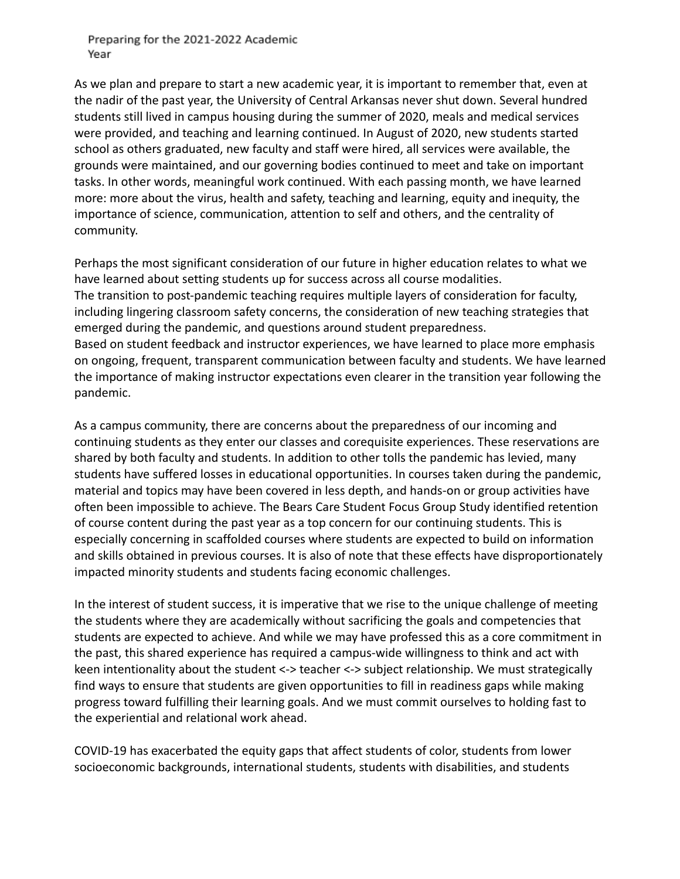As we plan and prepare to start a new academic year, it is important to remember that, even at the nadir of the past year, the University of Central Arkansas never shut down. Several hundred students still lived in campus housing during the summer of 2020, meals and medical services were provided, and teaching and learning continued. In August of 2020, new students started school as others graduated, new faculty and staff were hired, all services were available, the grounds were maintained, and our governing bodies continued to meet and take on important tasks. In other words, meaningful work continued. With each passing month, we have learned more: more about the virus, health and safety, teaching and learning, equity and inequity, the importance of science, communication, attention to self and others, and the centrality of community.

Perhaps the most significant consideration of our future in higher education relates to what we have learned about setting students up for success across all course modalities. The transition to post-pandemic teaching requires multiple layers of consideration for faculty, including lingering classroom safety concerns, the consideration of new teaching strategies that emerged during the pandemic, and questions around student preparedness. Based on student feedback and instructor experiences, we have learned to place more emphasis on ongoing, frequent, transparent communication between faculty and students. We have learned the importance of making instructor expectations even clearer in the transition year following the pandemic.

As a campus community, there are concerns about the preparedness of our incoming and continuing students as they enter our classes and corequisite experiences. These reservations are shared by both faculty and students. In addition to other tolls the pandemic has levied, many students have suffered losses in educational opportunities. In courses taken during the pandemic, material and topics may have been covered in less depth, and hands-on or group activities have often been impossible to achieve. The Bears Care Student Focus Group Study identified retention of course content during the past year as a top concern for our continuing students. This is especially concerning in scaffolded courses where students are expected to build on information and skills obtained in previous courses. It is also of note that these effects have disproportionately impacted minority students and students facing economic challenges.

In the interest of student success, it is imperative that we rise to the unique challenge of meeting the students where they are academically without sacrificing the goals and competencies that students are expected to achieve. And while we may have professed this as a core commitment in the past, this shared experience has required a campus-wide willingness to think and act with keen intentionality about the student <-> teacher <-> subject relationship. We must strategically find ways to ensure that students are given opportunities to fill in readiness gaps while making progress toward fulfilling their learning goals. And we must commit ourselves to holding fast to the experiential and relational work ahead.

COVID-19 has exacerbated the equity gaps that affect students of color, students from lower socioeconomic backgrounds, international students, students with disabilities, and students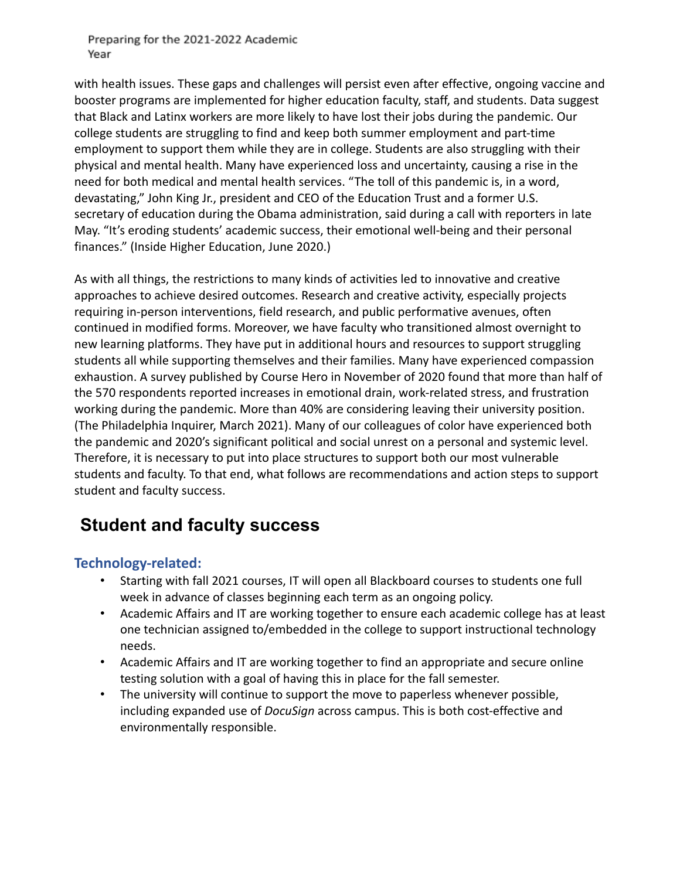with health issues. These gaps and challenges will persist even after effective, ongoing vaccine and booster programs are implemented for higher education faculty, staff, and students. Data suggest that Black and Latinx workers are more likely to have lost their jobs during the pandemic. Our college students are struggling to find and keep both summer employment and part-time employment to support them while they are in college. Students are also struggling with their physical and mental health. Many have experienced loss and uncertainty, causing a rise in the need for both medical and mental health services. "The toll of this pandemic is, in a word, devastating," John King Jr., president and CEO of the Education Trust and a former U.S. secretary of education during the Obama administration, said during a call with reporters in late May. "It's eroding students' academic success, their emotional well-being and their personal finances." (Inside Higher Education, June 2020.)

As with all things, the restrictions to many kinds of activities led to innovative and creative approaches to achieve desired outcomes. Research and creative activity, especially projects requiring in-person interventions, field research, and public performative avenues, often continued in modified forms. Moreover, we have faculty who transitioned almost overnight to new learning platforms. They have put in additional hours and resources to support struggling students all while supporting themselves and their families. Many have experienced compassion exhaustion. A survey published by Course Hero in November of 2020 found that more than half of the 570 respondents reported increases in emotional drain, work-related stress, and frustration working during the pandemic. More than 40% are considering leaving their university position. (The Philadelphia Inquirer, March 2021). Many of our colleagues of color have experienced both the pandemic and 2020's significant political and social unrest on a personal and systemic level. Therefore, it is necessary to put into place structures to support both our most vulnerable students and faculty. To that end, what follows are recommendations and action steps to support student and faculty success.

# **Student and faculty success**

### **Technology-related:**

- Starting with fall 2021 courses, IT will open all Blackboard courses to students one full week in advance of classes beginning each term as an ongoing policy.
- Academic Affairs and IT are working together to ensure each academic college has at least one technician assigned to/embedded in the college to support instructional technology needs.
- Academic Affairs and IT are working together to find an appropriate and secure online testing solution with a goal of having this in place for the fall semester.
- The university will continue to support the move to paperless whenever possible, including expanded use of *DocuSign* across campus. This is both cost-effective and environmentally responsible.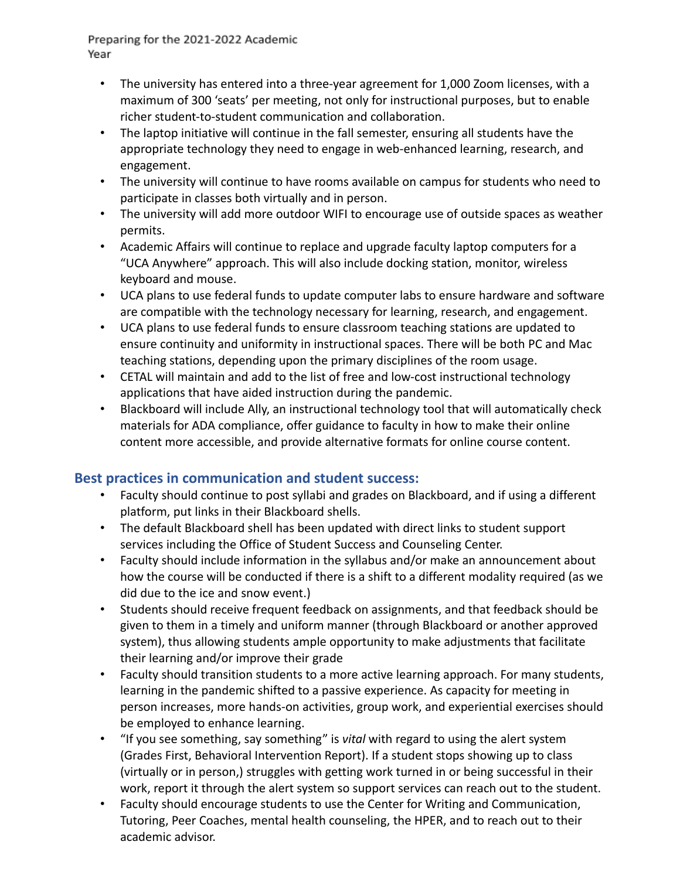- The university has entered into a three-year agreement for 1,000 Zoom licenses, with a maximum of 300 'seats' per meeting, not only for instructional purposes, but to enable richer student-to-student communication and collaboration.
- The laptop initiative will continue in the fall semester, ensuring all students have the appropriate technology they need to engage in web-enhanced learning, research, and engagement.
- The university will continue to have rooms available on campus for students who need to participate in classes both virtually and in person.
- The university will add more outdoor WIFI to encourage use of outside spaces as weather permits.
- Academic Affairs will continue to replace and upgrade faculty laptop computers for a "UCA Anywhere" approach. This will also include docking station, monitor, wireless keyboard and mouse.
- UCA plans to use federal funds to update computer labs to ensure hardware and software are compatible with the technology necessary for learning, research, and engagement.
- UCA plans to use federal funds to ensure classroom teaching stations are updated to ensure continuity and uniformity in instructional spaces. There will be both PC and Mac teaching stations, depending upon the primary disciplines of the room usage.
- CETAL will maintain and add to the list of free and low-cost instructional technology applications that have aided instruction during the pandemic.
- Blackboard will include Ally, an instructional technology tool that will automatically check materials for ADA compliance, offer guidance to faculty in how to make their online content more accessible, and provide alternative formats for online course content.

### **Best practices in communication and student success:**

- Faculty should continue to post syllabi and grades on Blackboard, and if using a different platform, put links in their Blackboard shells.
- The default Blackboard shell has been updated with direct links to student support services including the Office of Student Success and Counseling Center.
- Faculty should include information in the syllabus and/or make an announcement about how the course will be conducted if there is a shift to a different modality required (as we did due to the ice and snow event.)
- Students should receive frequent feedback on assignments, and that feedback should be given to them in a timely and uniform manner (through Blackboard or another approved system), thus allowing students ample opportunity to make adjustments that facilitate their learning and/or improve their grade
- Faculty should transition students to a more active learning approach. For many students, learning in the pandemic shifted to a passive experience. As capacity for meeting in person increases, more hands-on activities, group work, and experiential exercises should be employed to enhance learning.
- "If you see something, say something" is *vital* with regard to using the alert system (Grades First, Behavioral Intervention Report). If a student stops showing up to class (virtually or in person,) struggles with getting work turned in or being successful in their work, report it through the alert system so support services can reach out to the student.
- Faculty should encourage students to use the Center for Writing and Communication, Tutoring, Peer Coaches, mental health counseling, the HPER, and to reach out to their academic advisor.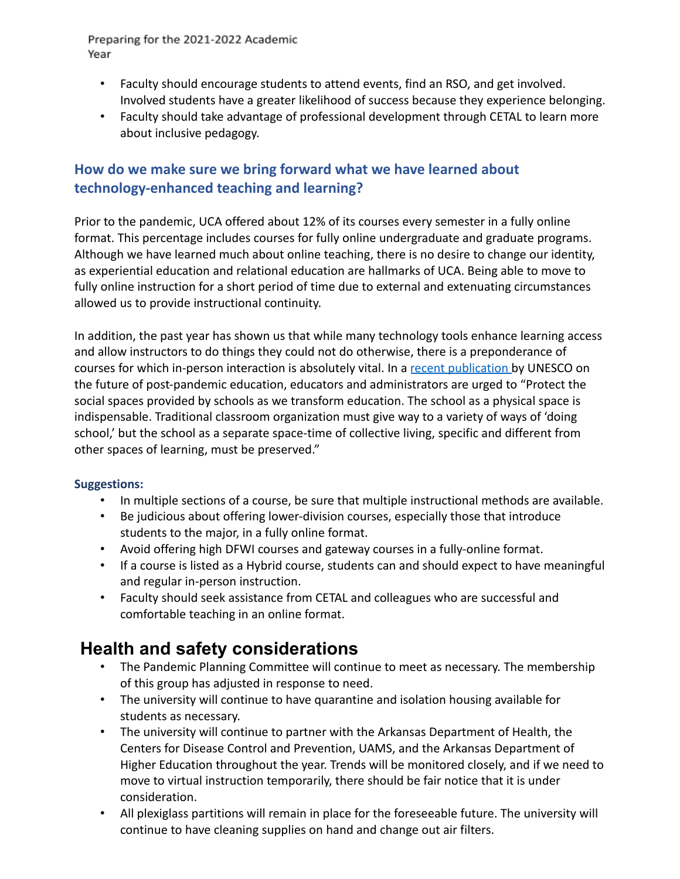- Faculty should encourage students to attend events, find an RSO, and get involved. Involved students have a greater likelihood of success because they experience belonging.
- Faculty should take advantage of professional development through CETAL to learn more about inclusive pedagogy.

### **How do we make sure we bring forward what we have learned about technology-enhanced teaching and learning?**

Prior to the pandemic, UCA offered about 12% of its courses every semester in a fully online format. This percentage includes courses for fully online undergraduate and graduate programs. Although we have learned much about online teaching, there is no desire to change our identity, as experiential education and relational education are hallmarks of UCA. Being able to move to fully online instruction for a short period of time due to external and extenuating circumstances allowed us to provide instructional continuity.

In addition, the past year has shown us that while many technology tools enhance learning access and allow instructors to do things they could not do otherwise, there is a preponderance of courses for which in-person interaction is absolutely vital. In a [recent publication](https://en.unesco.org/sites/default/files/education_in_a_post-covid_world-nine_ideas_for_public_action.pdf) by UNESCO on the future of post-pandemic education, educators and administrators are urged to "Protect the social spaces provided by schools as we transform education. The school as a physical space is indispensable. Traditional classroom organization must give way to a variety of ways of 'doing school,' but the school as a separate space-time of collective living, specific and different from other spaces of learning, must be preserved."

#### **Suggestions:**

- In multiple sections of a course, be sure that multiple instructional methods are available.
- Be judicious about offering lower-division courses, especially those that introduce students to the major, in a fully online format.
- Avoid offering high DFWI courses and gateway courses in a fully-online format.
- If a course is listed as a Hybrid course, students can and should expect to have meaningful and regular in-person instruction.
- Faculty should seek assistance from CETAL and colleagues who are successful and comfortable teaching in an online format.

## **Health and safety considerations**

- The Pandemic Planning Committee will continue to meet as necessary. The membership of this group has adjusted in response to need.
- The university will continue to have quarantine and isolation housing available for students as necessary.
- The university will continue to partner with the Arkansas Department of Health, the Centers for Disease Control and Prevention, UAMS, and the Arkansas Department of Higher Education throughout the year. Trends will be monitored closely, and if we need to move to virtual instruction temporarily, there should be fair notice that it is under consideration.
- All plexiglass partitions will remain in place for the foreseeable future. The university will continue to have cleaning supplies on hand and change out air filters.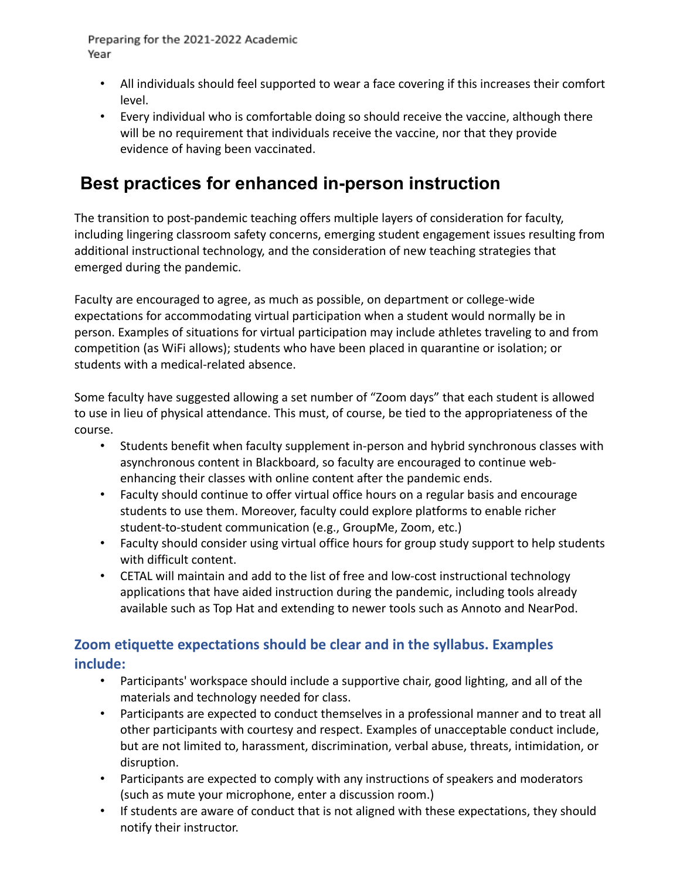- All individuals should feel supported to wear a face covering if this increases their comfort level.
- Every individual who is comfortable doing so should receive the vaccine, although there will be no requirement that individuals receive the vaccine, nor that they provide evidence of having been vaccinated.

# **Best practices for enhanced in-person instruction**

The transition to post-pandemic teaching offers multiple layers of consideration for faculty, including lingering classroom safety concerns, emerging student engagement issues resulting from additional instructional technology, and the consideration of new teaching strategies that emerged during the pandemic.

Faculty are encouraged to agree, as much as possible, on department or college-wide expectations for accommodating virtual participation when a student would normally be in person. Examples of situations for virtual participation may include athletes traveling to and from competition (as WiFi allows); students who have been placed in quarantine or isolation; or students with a medical-related absence.

Some faculty have suggested allowing a set number of "Zoom days" that each student is allowed to use in lieu of physical attendance. This must, of course, be tied to the appropriateness of the course.

- Students benefit when faculty supplement in-person and hybrid synchronous classes with asynchronous content in Blackboard, so faculty are encouraged to continue webenhancing their classes with online content after the pandemic ends.
- Faculty should continue to offer virtual office hours on a regular basis and encourage students to use them. Moreover, faculty could explore platforms to enable richer student-to-student communication (e.g., GroupMe, Zoom, etc.)
- Faculty should consider using virtual office hours for group study support to help students with difficult content.
- CETAL will maintain and add to the list of free and low-cost instructional technology applications that have aided instruction during the pandemic, including tools already available such as Top Hat and extending to newer tools such as Annoto and NearPod.

## **Zoom etiquette expectations should be clear and in the syllabus. Examples include:**

- Participants' workspace should include a supportive chair, good lighting, and all of the materials and technology needed for class.
- Participants are expected to conduct themselves in a professional manner and to treat all other participants with courtesy and respect. Examples of unacceptable conduct include, but are not limited to, harassment, discrimination, verbal abuse, threats, intimidation, or disruption.
- Participants are expected to comply with any instructions of speakers and moderators (such as mute your microphone, enter a discussion room.)
- If students are aware of conduct that is not aligned with these expectations, they should notify their instructor.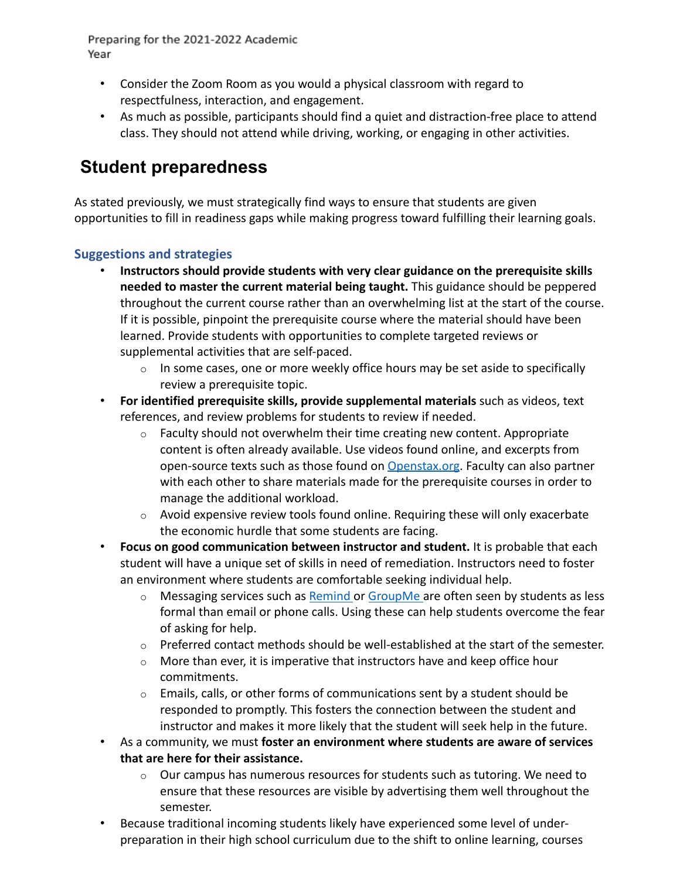- Consider the Zoom Room as you would a physical classroom with regard to respectfulness, interaction, and engagement.
- As much as possible, participants should find a quiet and distraction-free place to attend class. They should not attend while driving, working, or engaging in other activities.

# **Student preparedness**

As stated previously, we must strategically find ways to ensure that students are given opportunities to fill in readiness gaps while making progress toward fulfilling their learning goals.

### **Suggestions and strategies**

- **Instructors should provide students with very clear guidance on the prerequisite skills needed to master the current material being taught.** This guidance should be peppered throughout the current course rather than an overwhelming list at the start of the course. If it is possible, pinpoint the prerequisite course where the material should have been learned. Provide students with opportunities to complete targeted reviews or supplemental activities that are self-paced.
	- $\circ$  In some cases, one or more weekly office hours may be set aside to specifically review a prerequisite topic.
- **For identified prerequisite skills, provide supplemental materials** such as videos, text references, and review problems for students to review if needed.
	- $\circ$  Faculty should not overwhelm their time creating new content. Appropriate content is often already available. Use videos found online, and excerpts from open-source texts such as those found on [Openstax.org](https://openstax.org/). Faculty can also partner with each other to share materials made for the prerequisite courses in order to manage the additional workload.
	- o Avoid expensive review tools found online. Requiring these will only exacerbate the economic hurdle that some students are facing.
- **Focus on good communication between instructor and student.** It is probable that each student will have a unique set of skills in need of remediation. Instructors need to foster an environment where students are comfortable seeking individual help.
	- $\circ$  Messaging services such as [Remind](https://www.remind.com/) or [GroupMe](https://groupme.com/) are often seen by students as less formal than email or phone calls. Using these can help students overcome the fear of asking for help.
	- $\circ$  Preferred contact methods should be well-established at the start of the semester.
	- $\circ$  More than ever, it is imperative that instructors have and keep office hour commitments.
	- $\circ$  Emails, calls, or other forms of communications sent by a student should be responded to promptly. This fosters the connection between the student and instructor and makes it more likely that the student will seek help in the future.
- As a community, we must **foster an environment where students are aware of services that are here for their assistance.**
	- o Our campus has numerous resources for students such as tutoring. We need to ensure that these resources are visible by advertising them well throughout the semester.
- Because traditional incoming students likely have experienced some level of underpreparation in their high school curriculum due to the shift to online learning, courses